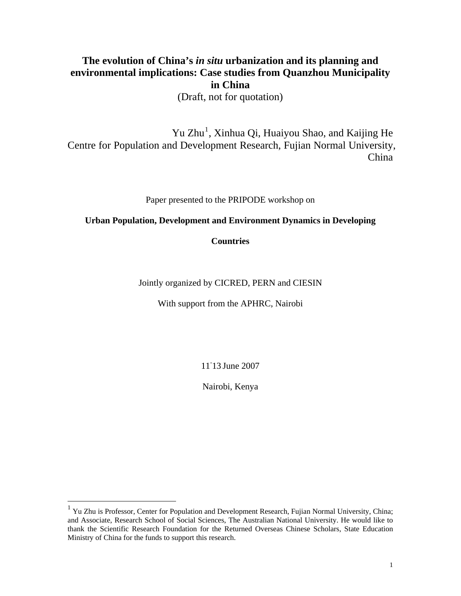# **The evolution of China's** *in situ* **urbanization and its planning and environmental implications: Case studies from Quanzhou Municipality in China**

(Draft, not for quotation)

Yu Zhu<sup>[1](#page-0-0)</sup>, Xinhua Qi, Huaiyou Shao, and Kaijing He Centre for Population and Development Research, Fujian Normal University, China

Paper presented to the PRIPODE workshop on

## **Urban Population, Development and Environment Dynamics in Developing**

**Countries** 

Jointly organized by CICRED, PERN and CIESIN

With support from the APHRC, Nairobi

11- 13 June 2007

Nairobi, Kenya

<span id="page-0-0"></span><sup>&</sup>lt;sup>1</sup> Yu Zhu is Professor, Center for Population and Development Research, Fujian Normal University, China; and Associate, Research School of Social Sciences, The Australian National University. He would like to thank the Scientific Research Foundation for the Returned Overseas Chinese Scholars, State Education Ministry of China for the funds to support this research.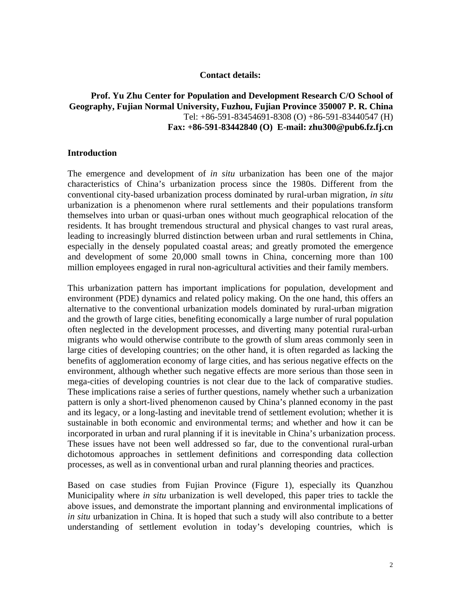#### **Contact details:**

## **Prof. Yu Zhu Center for Population and Development Research C/O School of Geography, Fujian Normal University, Fuzhou, Fujian Province 350007 P. R. China**  Tel: +86-591-83454691-8308 (O) +86-591-83440547 (H) **Fax: +86-591-83442840 (O) E-mail: zhu300@pub6.fz.fj.cn**

#### **Introduction**

The emergence and development of *in situ* urbanization has been one of the major characteristics of China's urbanization process since the 1980s. Different from the conventional city-based urbanization process dominated by rural-urban migration, *in situ* urbanization is a phenomenon where rural settlements and their populations transform themselves into urban or quasi-urban ones without much geographical relocation of the residents. It has brought tremendous structural and physical changes to vast rural areas, leading to increasingly blurred distinction between urban and rural settlements in China, especially in the densely populated coastal areas; and greatly promoted the emergence and development of some 20,000 small towns in China, concerning more than 100 million employees engaged in rural non-agricultural activities and their family members.

This urbanization pattern has important implications for population, development and environment (PDE) dynamics and related policy making. On the one hand, this offers an alternative to the conventional urbanization models dominated by rural-urban migration and the growth of large cities, benefiting economically a large number of rural population often neglected in the development processes, and diverting many potential rural-urban migrants who would otherwise contribute to the growth of slum areas commonly seen in large cities of developing countries; on the other hand, it is often regarded as lacking the benefits of agglomeration economy of large cities, and has serious negative effects on the environment, although whether such negative effects are more serious than those seen in mega-cities of developing countries is not clear due to the lack of comparative studies. These implications raise a series of further questions, namely whether such a urbanization pattern is only a short-lived phenomenon caused by China's planned economy in the past and its legacy, or a long-lasting and inevitable trend of settlement evolution; whether it is sustainable in both economic and environmental terms; and whether and how it can be incorporated in urban and rural planning if it is inevitable in China's urbanization process. These issues have not been well addressed so far, due to the conventional rural-urban dichotomous approaches in settlement definitions and corresponding data collection processes, as well as in conventional urban and rural planning theories and practices.

Based on case studies from Fujian Province (Figure 1), especially its Quanzhou Municipality where *in situ* urbanization is well developed, this paper tries to tackle the above issues, and demonstrate the important planning and environmental implications of *in situ* urbanization in China. It is hoped that such a study will also contribute to a better understanding of settlement evolution in today's developing countries, which is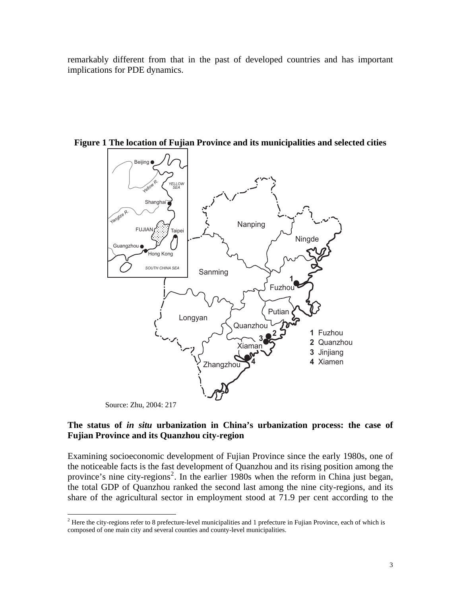remarkably different from that in the past of developed countries and has important implications for PDE dynamics.



**Figure 1 The location of Fujian Province and its municipalities and selected cities** 

Source: Zhu, 2004: 217

 $\overline{a}$ 

## **The status of** *in situ* **urbanization in China's urbanization process: the case of Fujian Province and its Quanzhou city-region**

Examining socioeconomic development of Fujian Province since the early 1980s, one of the noticeable facts is the fast development of Quanzhou and its rising position among the province's nine city-regions<sup>[2](#page-2-0)</sup>. In the earlier 1980s when the reform in China just began, the total GDP of Quanzhou ranked the second last among the nine city-regions, and its share of the agricultural sector in employment stood at 71.9 per cent according to the

<span id="page-2-0"></span> $<sup>2</sup>$  Here the city-regions refer to 8 prefecture-level municipalities and 1 prefecture in Fujian Province, each of which is</sup> composed of one main city and several counties and county-level municipalities.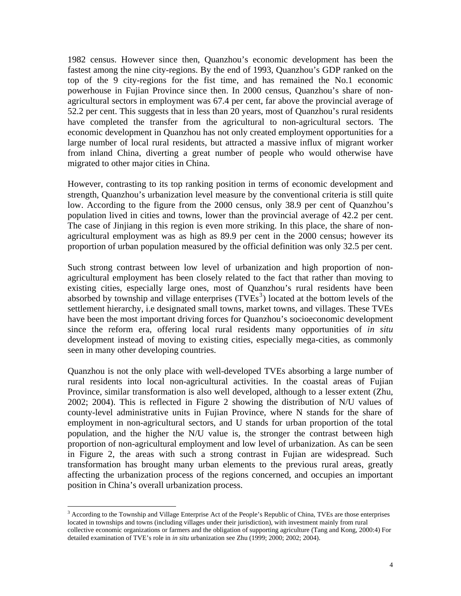1982 census. However since then, Quanzhou's economic development has been the fastest among the nine city-regions. By the end of 1993, Quanzhou's GDP ranked on the top of the 9 city-regions for the fist time, and has remained the No.1 economic powerhouse in Fujian Province since then. In 2000 census, Quanzhou's share of nonagricultural sectors in employment was 67.4 per cent, far above the provincial average of 52.2 per cent. This suggests that in less than 20 years, most of Quanzhou's rural residents have completed the transfer from the agricultural to non-agricultural sectors. The economic development in Quanzhou has not only created employment opportunities for a large number of local rural residents, but attracted a massive influx of migrant worker from inland China, diverting a great number of people who would otherwise have migrated to other major cities in China.

However, contrasting to its top ranking position in terms of economic development and strength, Quanzhou's urbanization level measure by the conventional criteria is still quite low. According to the figure from the 2000 census, only 38.9 per cent of Quanzhou's population lived in cities and towns, lower than the provincial average of 42.2 per cent. The case of Jinjiang in this region is even more striking. In this place, the share of nonagricultural employment was as high as 89.9 per cent in the 2000 census; however its proportion of urban population measured by the official definition was only 32.5 per cent.

Such strong contrast between low level of urbanization and high proportion of nonagricultural employment has been closely related to the fact that rather than moving to existing cities, especially large ones, most of Quanzhou's rural residents have been absorbed by township and village enterprises  $(TVEs<sup>3</sup>)$  $(TVEs<sup>3</sup>)$  $(TVEs<sup>3</sup>)$  located at the bottom levels of the settlement hierarchy, i.e designated small towns, market towns, and villages. These TVEs have been the most important driving forces for Quanzhou's socioeconomic development since the reform era, offering local rural residents many opportunities of *in situ* development instead of moving to existing cities, especially mega-cities, as commonly seen in many other developing countries.

Quanzhou is not the only place with well-developed TVEs absorbing a large number of rural residents into local non-agricultural activities. In the coastal areas of Fujian Province, similar transformation is also well developed, although to a lesser extent (Zhu, 2002; 2004). This is reflected in Figure 2 showing the distribution of N/U values of county-level administrative units in Fujian Province, where N stands for the share of employment in non-agricultural sectors, and U stands for urban proportion of the total population, and the higher the N/U value is, the stronger the contrast between high proportion of non-agricultural employment and low level of urbanization. As can be seen in Figure 2, the areas with such a strong contrast in Fujian are widespread. Such transformation has brought many urban elements to the previous rural areas, greatly affecting the urbanization process of the regions concerned, and occupies an important position in China's overall urbanization process.

 $\overline{a}$ 

<span id="page-3-0"></span><sup>&</sup>lt;sup>3</sup> According to the Township and Village Enterprise Act of the People's Republic of China, TVEs are those enterprises located in townships and towns (including villages under their jurisdiction), with investment mainly from rural collective economic organizations or farmers and the obligation of supporting agriculture (Tang and Kong, 2000:4) For detailed examination of TVE's role in *in situ* urbanization see Zhu (1999; 2000; 2002; 2004).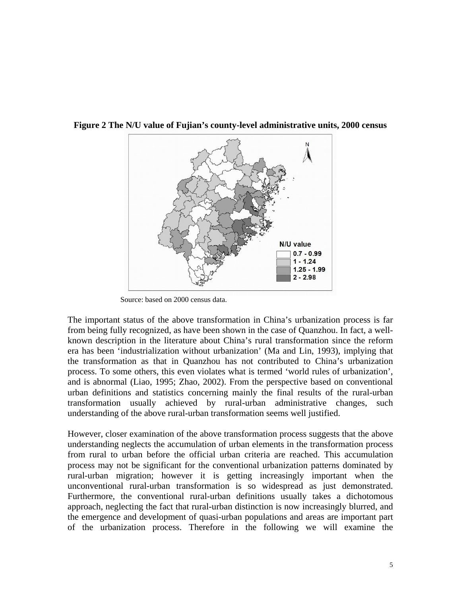

**Figure 2 The N/U value of Fujian's county-level administrative units, 2000 census** 

Source: based on 2000 census data.

The important status of the above transformation in China's urbanization process is far from being fully recognized, as have been shown in the case of Quanzhou. In fact, a wellknown description in the literature about China's rural transformation since the reform era has been 'industrialization without urbanization' (Ma and Lin, 1993), implying that the transformation as that in Quanzhou has not contributed to China's urbanization process. To some others, this even violates what is termed 'world rules of urbanization', and is abnormal (Liao, 1995; Zhao, 2002). From the perspective based on conventional urban definitions and statistics concerning mainly the final results of the rural-urban transformation usually achieved by rural-urban administrative changes, such understanding of the above rural-urban transformation seems well justified.

However, closer examination of the above transformation process suggests that the above understanding neglects the accumulation of urban elements in the transformation process from rural to urban before the official urban criteria are reached. This accumulation process may not be significant for the conventional urbanization patterns dominated by rural-urban migration; however it is getting increasingly important when the unconventional rural-urban transformation is so widespread as just demonstrated. Furthermore, the conventional rural-urban definitions usually takes a dichotomous approach, neglecting the fact that rural-urban distinction is now increasingly blurred, and the emergence and development of quasi-urban populations and areas are important part of the urbanization process. Therefore in the following we will examine the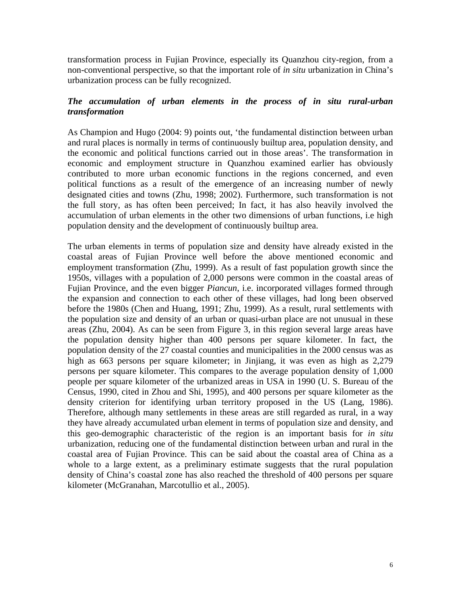transformation process in Fujian Province, especially its Quanzhou city-region, from a non-conventional perspective, so that the important role of *in situ* urbanization in China's urbanization process can be fully recognized.

# *The accumulation of urban elements in the process of in situ rural-urban transformation*

As Champion and Hugo (2004: 9) points out, 'the fundamental distinction between urban and rural places is normally in terms of continuously builtup area, population density, and the economic and political functions carried out in those areas'. The transformation in economic and employment structure in Quanzhou examined earlier has obviously contributed to more urban economic functions in the regions concerned, and even political functions as a result of the emergence of an increasing number of newly designated cities and towns (Zhu, 1998; 2002). Furthermore, such transformation is not the full story, as has often been perceived; In fact, it has also heavily involved the accumulation of urban elements in the other two dimensions of urban functions, i.e high population density and the development of continuously builtup area.

The urban elements in terms of population size and density have already existed in the coastal areas of Fujian Province well before the above mentioned economic and employment transformation (Zhu, 1999). As a result of fast population growth since the 1950s, villages with a population of 2,000 persons were common in the coastal areas of Fujian Province, and the even bigger *Piancun*, i.e. incorporated villages formed through the expansion and connection to each other of these villages, had long been observed before the 1980s (Chen and Huang, 1991; Zhu, 1999). As a result, rural settlements with the population size and density of an urban or quasi-urban place are not unusual in these areas (Zhu, 2004). As can be seen from Figure 3, in this region several large areas have the population density higher than 400 persons per square kilometer. In fact, the population density of the 27 coastal counties and municipalities in the 2000 census was as high as 663 persons per square kilometer; in Jinjiang, it was even as high as 2,279 persons per square kilometer. This compares to the average population density of 1,000 people per square kilometer of the urbanized areas in USA in 1990 (U. S. Bureau of the Census, 1990, cited in Zhou and Shi, 1995), and 400 persons per square kilometer as the density criterion for identifying urban territory proposed in the US (Lang, 1986). Therefore, although many settlements in these areas are still regarded as rural, in a way they have already accumulated urban element in terms of population size and density, and this geo-demographic characteristic of the region is an important basis for *in situ* urbanization, reducing one of the fundamental distinction between urban and rural in the coastal area of Fujian Province. This can be said about the coastal area of China as a whole to a large extent, as a preliminary estimate suggests that the rural population density of China's coastal zone has also reached the threshold of 400 persons per square kilometer (McGranahan, Marcotullio et al., 2005).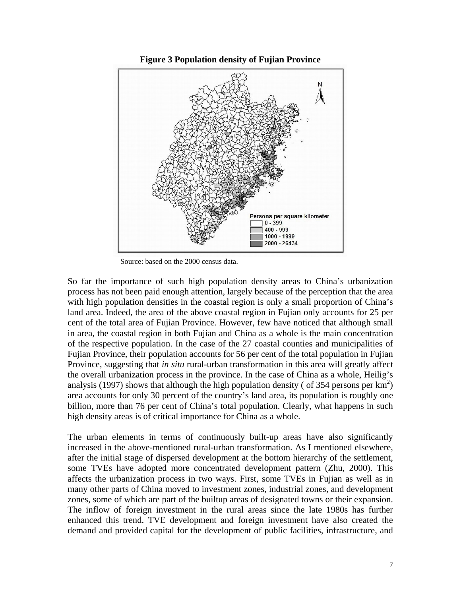

**Figure 3 Population density of Fujian Province** 

Source: based on the 2000 census data.

So far the importance of such high population density areas to China's urbanization process has not been paid enough attention, largely because of the perception that the area with high population densities in the coastal region is only a small proportion of China's land area. Indeed, the area of the above coastal region in Fujian only accounts for 25 per cent of the total area of Fujian Province. However, few have noticed that although small in area, the coastal region in both Fujian and China as a whole is the main concentration of the respective population. In the case of the 27 coastal counties and municipalities of Fujian Province, their population accounts for 56 per cent of the total population in Fujian Province, suggesting that *in situ* rural-urban transformation in this area will greatly affect the overall urbanization process in the province. In the case of China as a whole, Heilig's analysis (1997) shows that although the high population density ( of 354 persons per  $km^2$ ) area accounts for only 30 percent of the country's land area, its population is roughly one billion, more than 76 per cent of China's total population. Clearly, what happens in such high density areas is of critical importance for China as a whole.

The urban elements in terms of continuously built-up areas have also significantly increased in the above-mentioned rural-urban transformation. As I mentioned elsewhere, after the initial stage of dispersed development at the bottom hierarchy of the settlement, some TVEs have adopted more concentrated development pattern (Zhu, 2000). This affects the urbanization process in two ways. First, some TVEs in Fujian as well as in many other parts of China moved to investment zones, industrial zones, and development zones, some of which are part of the builtup areas of designated towns or their expansion. The inflow of foreign investment in the rural areas since the late 1980s has further enhanced this trend. TVE development and foreign investment have also created the demand and provided capital for the development of public facilities, infrastructure, and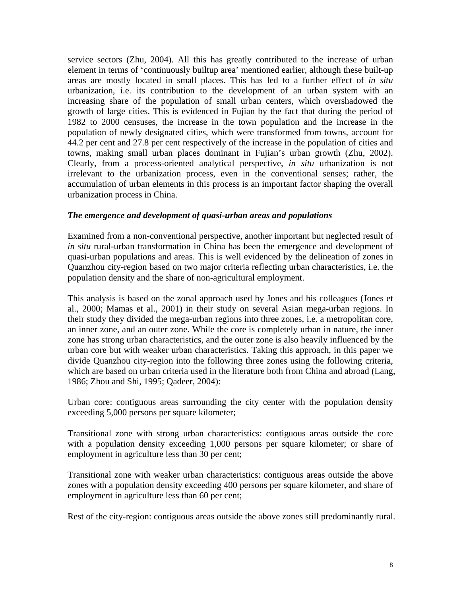service sectors (Zhu, 2004). All this has greatly contributed to the increase of urban element in terms of 'continuously builtup area' mentioned earlier, although these built-up areas are mostly located in small places. This has led to a further effect of *in situ*  urbanization, i.e. its contribution to the development of an urban system with an increasing share of the population of small urban centers, which overshadowed the growth of large cities. This is evidenced in Fujian by the fact that during the period of 1982 to 2000 censuses, the increase in the town population and the increase in the population of newly designated cities, which were transformed from towns, account for 44.2 per cent and 27.8 per cent respectively of the increase in the population of cities and towns, making small urban places dominant in Fujian's urban growth (Zhu, 2002). Clearly, from a process-oriented analytical perspective, *in situ* urbanization is not irrelevant to the urbanization process, even in the conventional senses; rather, the accumulation of urban elements in this process is an important factor shaping the overall urbanization process in China.

## *The emergence and development of quasi-urban areas and populations*

Examined from a non-conventional perspective, another important but neglected result of *in situ* rural-urban transformation in China has been the emergence and development of quasi-urban populations and areas. This is well evidenced by the delineation of zones in Quanzhou city-region based on two major criteria reflecting urban characteristics, i.e. the population density and the share of non-agricultural employment.

This analysis is based on the zonal approach used by Jones and his colleagues (Jones et al., 2000; Mamas et al., 2001) in their study on several Asian mega-urban regions. In their study they divided the mega-urban regions into three zones, i.e. a metropolitan core, an inner zone, and an outer zone. While the core is completely urban in nature, the inner zone has strong urban characteristics, and the outer zone is also heavily influenced by the urban core but with weaker urban characteristics. Taking this approach, in this paper we divide Quanzhou city-region into the following three zones using the following criteria, which are based on urban criteria used in the literature both from China and abroad (Lang, 1986; Zhou and Shi, 1995; Qadeer, 2004):

Urban core: contiguous areas surrounding the city center with the population density exceeding 5,000 persons per square kilometer;

Transitional zone with strong urban characteristics: contiguous areas outside the core with a population density exceeding 1,000 persons per square kilometer; or share of employment in agriculture less than 30 per cent;

Transitional zone with weaker urban characteristics: contiguous areas outside the above zones with a population density exceeding 400 persons per square kilometer, and share of employment in agriculture less than 60 per cent;

Rest of the city-region: contiguous areas outside the above zones still predominantly rural.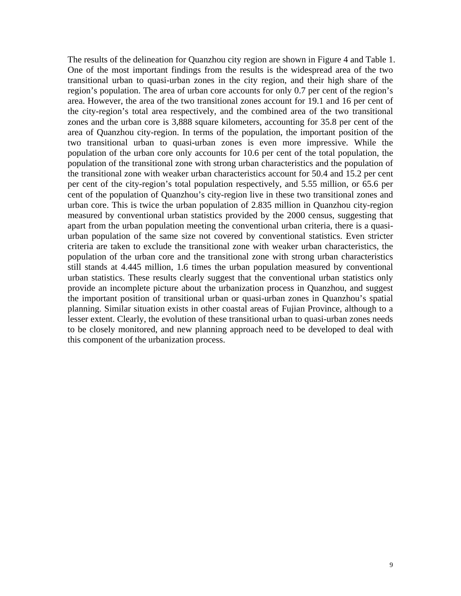The results of the delineation for Quanzhou city region are shown in Figure 4 and Table 1. One of the most important findings from the results is the widespread area of the two transitional urban to quasi-urban zones in the city region, and their high share of the region's population. The area of urban core accounts for only 0.7 per cent of the region's area. However, the area of the two transitional zones account for 19.1 and 16 per cent of the city-region's total area respectively, and the combined area of the two transitional zones and the urban core is 3,888 square kilometers, accounting for 35.8 per cent of the area of Quanzhou city-region. In terms of the population, the important position of the two transitional urban to quasi-urban zones is even more impressive. While the population of the urban core only accounts for 10.6 per cent of the total population, the population of the transitional zone with strong urban characteristics and the population of the transitional zone with weaker urban characteristics account for 50.4 and 15.2 per cent per cent of the city-region's total population respectively, and 5.55 million, or 65.6 per cent of the population of Quanzhou's city-region live in these two transitional zones and urban core. This is twice the urban population of 2.835 million in Quanzhou city-region measured by conventional urban statistics provided by the 2000 census, suggesting that apart from the urban population meeting the conventional urban criteria, there is a quasiurban population of the same size not covered by conventional statistics. Even stricter criteria are taken to exclude the transitional zone with weaker urban characteristics, the population of the urban core and the transitional zone with strong urban characteristics still stands at 4.445 million, 1.6 times the urban population measured by conventional urban statistics. These results clearly suggest that the conventional urban statistics only provide an incomplete picture about the urbanization process in Quanzhou, and suggest the important position of transitional urban or quasi-urban zones in Quanzhou's spatial planning. Similar situation exists in other coastal areas of Fujian Province, although to a lesser extent. Clearly, the evolution of these transitional urban to quasi-urban zones needs to be closely monitored, and new planning approach need to be developed to deal with this component of the urbanization process.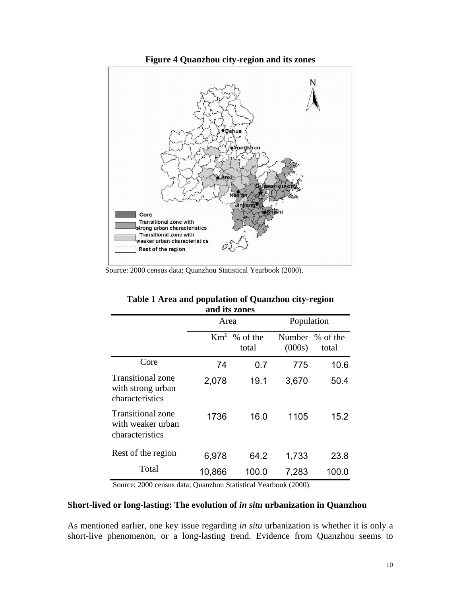

Source: 2000 census data; Quanzhou Statistical Yearbook (2000).

| anu its zones                                             |        |                                   |            |                          |  |  |  |
|-----------------------------------------------------------|--------|-----------------------------------|------------|--------------------------|--|--|--|
|                                                           | Area   |                                   | Population |                          |  |  |  |
|                                                           |        | $\mathrm{Km}^2$ % of the<br>total | (000s)     | Number % of the<br>total |  |  |  |
| Core                                                      | 74     | 0.7                               | 775        | 10.6                     |  |  |  |
| Transitional zone<br>with strong urban<br>characteristics | 2,078  | 19.1                              | 3,670      | 50.4                     |  |  |  |
| Transitional zone<br>with weaker urban<br>characteristics | 1736   | 16.0                              | 1105       | 15.2                     |  |  |  |
| Rest of the region                                        | 6,978  | 64.2                              | 1,733      | 23.8                     |  |  |  |
| Total                                                     | 10,866 | 100.0                             | 7,283      | 100.0                    |  |  |  |

# **Table 1 Area and population of Quanzhou city-region and its zones**

Source: 2000 census data; Quanzhou Statistical Yearbook (2000).

### **Short-lived or long-lasting: The evolution of** *in situ* **urbanization in Quanzhou**

As mentioned earlier, one key issue regarding *in situ* urbanization is whether it is only a short-live phenomenon, or a long-lasting trend. Evidence from Quanzhou seems to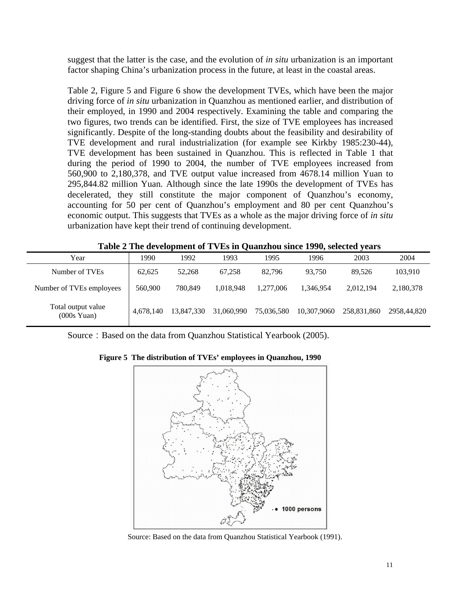suggest that the latter is the case, and the evolution of *in situ* urbanization is an important factor shaping China's urbanization process in the future, at least in the coastal areas.

Table 2, Figure 5 and Figure 6 show the development TVEs, which have been the major driving force of *in situ* urbanization in Quanzhou as mentioned earlier, and distribution of their employed, in 1990 and 2004 respectively. Examining the table and comparing the two figures, two trends can be identified. First, the size of TVE employees has increased significantly. Despite of the long-standing doubts about the feasibility and desirability of TVE development and rural industrialization (for example see Kirkby 1985:230-44), TVE development has been sustained in Quanzhou. This is reflected in Table 1 that during the period of 1990 to 2004, the number of TVE employees increased from 560,900 to 2,180,378, and TVE output value increased from 4678.14 million Yuan to 295,844.82 million Yuan. Although since the late 1990s the development of TVEs has decelerated, they still constitute the major component of Quanzhou's economy, accounting for 50 per cent of Quanzhou's employment and 80 per cent Quanzhou's economic output. This suggests that TVEs as a whole as the major driving force of *in situ* urbanization have kept their trend of continuing development.

| Year                                        | 1990      | 1992       | 1993       | 1995       | 1996        | 2003        | 2004        |
|---------------------------------------------|-----------|------------|------------|------------|-------------|-------------|-------------|
| Number of TVEs                              | 62.625    | 52,268     | 67,258     | 82.796     | 93.750      | 89.526      | 103,910     |
| Number of TVEs employees                    | 560,900   | 780,849    | 1.018.948  | 1.277.006  | 1.346.954   | 2,012,194   | 2,180,378   |
| Total output value<br>$(000s \text{ Yuan})$ | 4.678.140 | 13.847.330 | 31,060,990 | 75,036,580 | 10.307.9060 | 258.831.860 | 2958,44,820 |

| Table 2 The development of TVEs in Quanzhou since 1990, selected years |  |  |
|------------------------------------------------------------------------|--|--|
|------------------------------------------------------------------------|--|--|

Source: Based on the data from Quanzhou Statistical Yearbook (2005).

**Figure 5 The distribution of TVEs' employees in Quanzhou, 1990**



Source: Based on the data from Quanzhou Statistical Yearbook (1991).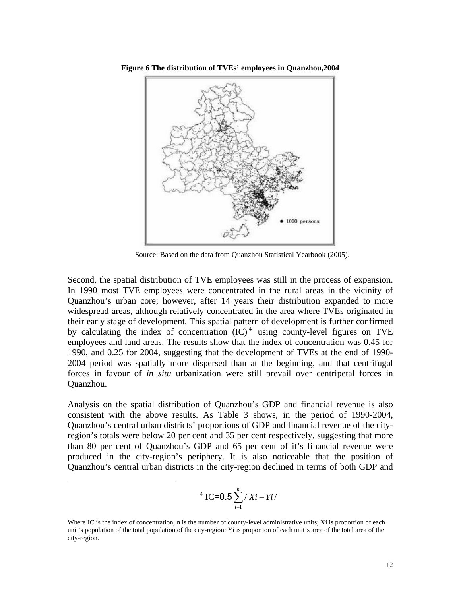



Source: Based on the data from Quanzhou Statistical Yearbook (2005).

Second, the spatial distribution of TVE employees was still in the process of expansion. In 1990 most TVE employees were concentrated in the rural areas in the vicinity of Quanzhou's urban core; however, after 14 years their distribution expanded to more widespread areas, although relatively concentrated in the area where TVEs originated in their early stage of development. This spatial pattern of development is further confirmed by calculating the index of concentration  $(IC)^4$  $(IC)^4$  using county-level figures on TVE employees and land areas. The results show that the index of concentration was 0.45 for 1990, and 0.25 for 2004, suggesting that the development of TVEs at the end of 1990- 2004 period was spatially more dispersed than at the beginning, and that centrifugal forces in favour of *in situ* urbanization were still prevail over centripetal forces in Quanzhou.

Analysis on the spatial distribution of Quanzhou's GDP and financial revenue is also consistent with the above results. As Table 3 shows, in the period of 1990-2004, Quanzhou's central urban districts' proportions of GDP and financial revenue of the cityregion's totals were below 20 per cent and 35 per cent respectively, suggesting that more than 80 per cent of Quanzhou's GDP and 65 per cent of it's financial revenue were produced in the city-region's periphery. It is also noticeable that the position of Quanzhou's central urban districts in the city-region declined in terms of both GDP and

<sup>4</sup> IC=0.5 
$$
\sum_{i=1}^{n} /Xi - Yi /
$$

<span id="page-11-0"></span> $\overline{a}$ 

Where IC is the index of concentration; n is the number of county-level administrative units; Xi is proportion of each unit's population of the total population of the city-region; Yi is proportion of each unit's area of the total area of the city-region.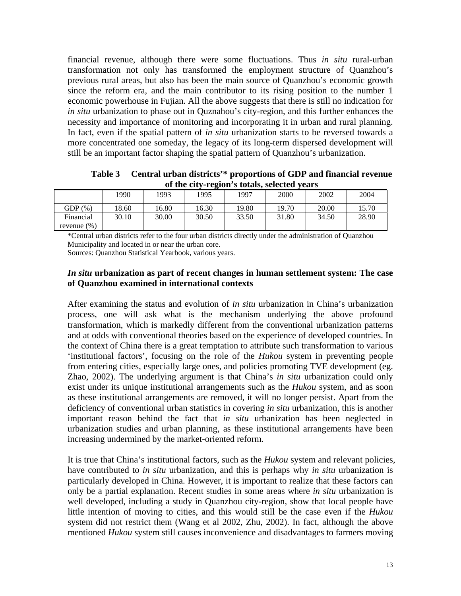financial revenue, although there were some fluctuations. Thus *in situ* rural-urban transformation not only has transformed the employment structure of Quanzhou's previous rural areas, but also has been the main source of Quanzhou's economic growth since the reform era, and the main contributor to its rising position to the number 1 economic powerhouse in Fujian. All the above suggests that there is still no indication for *in situ* urbanization to phase out in Quznahou's city-region, and this further enhances the necessity and importance of monitoring and incorporating it in urban and rural planning. In fact, even if the spatial pattern of *in situ* urbanization starts to be reversed towards a more concentrated one someday, the legacy of its long-term dispersed development will still be an important factor shaping the spatial pattern of Quanzhou's urbanization.

**Table 3 Central urban districts'\* proportions of GDP and financial revenue of the city-region's totals, selected years** 

|                | 1990  | 1993  | ້<br>1995 | 1997  | 2000  | 2002  | 2004  |
|----------------|-------|-------|-----------|-------|-------|-------|-------|
| $GDP(\%)$      | 18.60 | 16.80 | 16.30     | 19.80 | 19.70 | 20.00 | 15.70 |
| Financial      | 30.10 | 30.00 | 30.50     | 33.50 | 31.80 | 34.50 | 28.90 |
| revenue $(\%)$ |       |       |           |       |       |       |       |

\*Central urban districts refer to the four urban districts directly under the administration of Quanzhou Municipality and located in or near the urban core.

Sources: Quanzhou Statistical Yearbook, various years.

## *In situ* **urbanization as part of recent changes in human settlement system: The case of Quanzhou examined in international contexts**

After examining the status and evolution of *in situ* urbanization in China's urbanization process, one will ask what is the mechanism underlying the above profound transformation, which is markedly different from the conventional urbanization patterns and at odds with conventional theories based on the experience of developed countries. In the context of China there is a great temptation to attribute such transformation to various 'institutional factors', focusing on the role of the *Hukou* system in preventing people from entering cities, especially large ones, and policies promoting TVE development (eg. Zhao, 2002). The underlying argument is that China's *in situ* urbanization could only exist under its unique institutional arrangements such as the *Hukou* system, and as soon as these institutional arrangements are removed, it will no longer persist. Apart from the deficiency of conventional urban statistics in covering *in situ* urbanization, this is another important reason behind the fact that *in situ* urbanization has been neglected in urbanization studies and urban planning, as these institutional arrangements have been increasing undermined by the market-oriented reform.

It is true that China's institutional factors, such as the *Hukou* system and relevant policies, have contributed to *in situ* urbanization, and this is perhaps why *in situ* urbanization is particularly developed in China. However, it is important to realize that these factors can only be a partial explanation. Recent studies in some areas where *in situ* urbanization is well developed, including a study in Quanzhou city-region, show that local people have little intention of moving to cities, and this would still be the case even if the *Hukou*  system did not restrict them (Wang et al 2002, Zhu, 2002). In fact, although the above mentioned *Hukou* system still causes inconvenience and disadvantages to farmers moving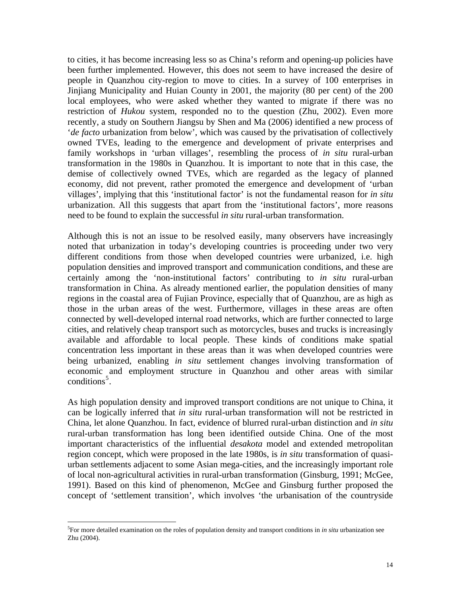to cities, it has become increasing less so as China's reform and opening-up policies have been further implemented. However, this does not seem to have increased the desire of people in Quanzhou city-region to move to cities. In a survey of 100 enterprises in Jinjiang Municipality and Huian County in 2001, the majority (80 per cent) of the 200 local employees, who were asked whether they wanted to migrate if there was no restriction of *Hukou* system, responded no to the question (Zhu, 2002). Even more recently, a study on Southern Jiangsu by Shen and Ma (2006) identified a new process of '*de facto* urbanization from below', which was caused by the privatisation of collectively owned TVEs, leading to the emergence and development of private enterprises and family workshops in 'urban villages', resembling the process of *in situ* rural-urban transformation in the 1980s in Quanzhou. It is important to note that in this case, the demise of collectively owned TVEs, which are regarded as the legacy of planned economy, did not prevent, rather promoted the emergence and development of 'urban villages', implying that this 'institutional factor' is not the fundamental reason for *in situ* urbanization. All this suggests that apart from the 'institutional factors', more reasons need to be found to explain the successful *in situ* rural-urban transformation.

Although this is not an issue to be resolved easily, many observers have increasingly noted that urbanization in today's developing countries is proceeding under two very different conditions from those when developed countries were urbanized, i.e. high population densities and improved transport and communication conditions, and these are certainly among the 'non-institutional factors' contributing to *in situ* rural-urban transformation in China. As already mentioned earlier, the population densities of many regions in the coastal area of Fujian Province, especially that of Quanzhou, are as high as those in the urban areas of the west. Furthermore, villages in these areas are often connected by well-developed internal road networks, which are further connected to large cities, and relatively cheap transport such as motorcycles, buses and trucks is increasingly available and affordable to local people. These kinds of conditions make spatial concentration less important in these areas than it was when developed countries were being urbanized, enabling *in situ* settlement changes involving transformation of economic and employment structure in Quanzhou and other areas with similar conditions<sup>[5](#page-13-0)</sup>.

As high population density and improved transport conditions are not unique to China, it can be logically inferred that *in situ* rural-urban transformation will not be restricted in China, let alone Quanzhou. In fact, evidence of blurred rural-urban distinction and *in situ* rural-urban transformation has long been identified outside China. One of the most important characteristics of the influential *desakota* model and extended metropolitan region concept, which were proposed in the late 1980s, is *in situ* transformation of quasiurban settlements adjacent to some Asian mega-cities, and the increasingly important role of local non-agricultural activities in rural-urban transformation (Ginsburg, 1991; McGee, 1991). Based on this kind of phenomenon, McGee and Ginsburg further proposed the concept of 'settlement transition', which involves 'the urbanisation of the countryside

 $\overline{a}$ 

<span id="page-13-0"></span><sup>5</sup> For more detailed examination on the roles of population density and transport conditions in *in situ* urbanization see Zhu (2004).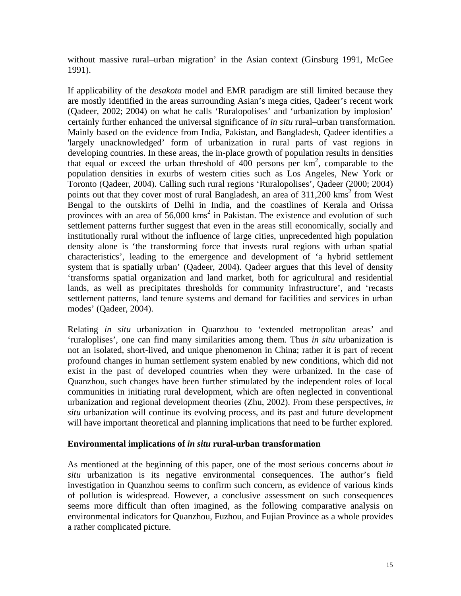without massive rural–urban migration' in the Asian context (Ginsburg 1991, McGee 1991).

If applicability of the *desakota* model and EMR paradigm are still limited because they are mostly identified in the areas surrounding Asian's mega cities, Qadeer's recent work (Qadeer, 2002; 2004) on what he calls 'Ruralopolises' and 'urbanization by implosion' certainly further enhanced the universal significance of *in situ* rural–urban transformation. Mainly based on the evidence from India, Pakistan, and Bangladesh, Qadeer identifies a 'largely unacknowledged' form of urbanization in rural parts of vast regions in developing countries. In these areas, the in-place growth of population results in densities that equal or exceed the urban threshold of  $400$  persons per  $km^2$ , comparable to the population densities in exurbs of western cities such as Los Angeles, New York or Toronto (Qadeer, 2004). Calling such rural regions 'Ruralopolises', Qadeer (2000; 2004) points out that they cover most of rural Bangladesh, an area of 311,200 kms<sup>2</sup> from West Bengal to the outskirts of Delhi in India, and the coastlines of Kerala and Orissa provinces with an area of  $56,000$  kms<sup>2</sup> in Pakistan. The existence and evolution of such settlement patterns further suggest that even in the areas still economically, socially and institutionally rural without the influence of large cities, unprecedented high population density alone is 'the transforming force that invests rural regions with urban spatial characteristics', leading to the emergence and development of 'a hybrid settlement system that is spatially urban' (Qadeer, 2004). Qadeer argues that this level of density 'transforms spatial organization and land market, both for agricultural and residential lands, as well as precipitates thresholds for community infrastructure', and 'recasts settlement patterns, land tenure systems and demand for facilities and services in urban modes' (Qadeer, 2004).

Relating *in situ* urbanization in Quanzhou to 'extended metropolitan areas' and 'ruraloplises', one can find many similarities among them. Thus *in situ* urbanization is not an isolated, short-lived, and unique phenomenon in China; rather it is part of recent profound changes in human settlement system enabled by new conditions, which did not exist in the past of developed countries when they were urbanized. In the case of Quanzhou, such changes have been further stimulated by the independent roles of local communities in initiating rural development, which are often neglected in conventional urbanization and regional development theories (Zhu, 2002). From these perspectives, *in situ* urbanization will continue its evolving process, and its past and future development will have important theoretical and planning implications that need to be further explored.

## **Environmental implications of** *in situ* **rural-urban transformation**

As mentioned at the beginning of this paper, one of the most serious concerns about *in situ* urbanization is its negative environmental consequences. The author's field investigation in Quanzhou seems to confirm such concern, as evidence of various kinds of pollution is widespread. However, a conclusive assessment on such consequences seems more difficult than often imagined, as the following comparative analysis on environmental indicators for Quanzhou, Fuzhou, and Fujian Province as a whole provides a rather complicated picture.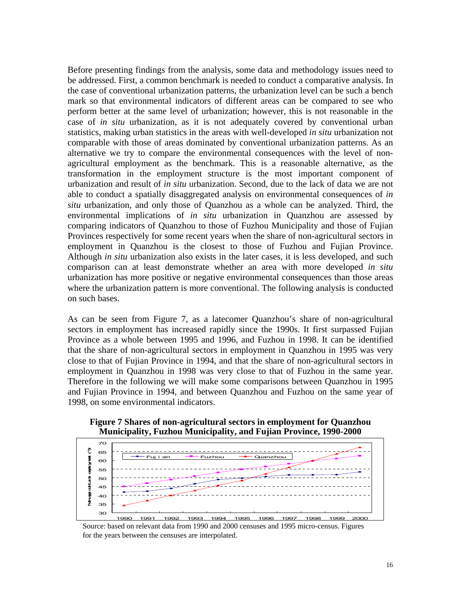Before presenting findings from the analysis, some data and methodology issues need to be addressed. First, a common benchmark is needed to conduct a comparative analysis. In the case of conventional urbanization patterns, the urbanization level can be such a bench mark so that environmental indicators of different areas can be compared to see who perform better at the same level of urbanization; however, this is not reasonable in the case of *in situ* urbanization, as it is not adequately covered by conventional urban statistics, making urban statistics in the areas with well-developed *in situ* urbanization not comparable with those of areas dominated by conventional urbanization patterns. As an alternative we try to compare the environmental consequences with the level of nonagricultural employment as the benchmark. This is a reasonable alternative, as the transformation in the employment structure is the most important component of urbanization and result of *in situ* urbanization. Second, due to the lack of data we are not able to conduct a spatially disaggregated analysis on environmental consequences of *in situ* urbanization, and only those of Quanzhou as a whole can be analyzed. Third, the environmental implications of *in situ* urbanization in Quanzhou are assessed by comparing indicators of Quanzhou to those of Fuzhou Municipality and those of Fujian Provinces respectively for some recent years when the share of non-agricultural sectors in employment in Quanzhou is the closest to those of Fuzhou and Fujian Province. Although *in situ* urbanization also exists in the later cases, it is less developed, and such comparison can at least demonstrate whether an area with more developed *in situ* urbanization has more positive or negative environmental consequences than those areas where the urbanization pattern is more conventional. The following analysis is conducted on such bases.

As can be seen from Figure 7, as a latecomer Quanzhou's share of non-agricultural sectors in employment has increased rapidly since the 1990s. It first surpassed Fujian Province as a whole between 1995 and 1996, and Fuzhou in 1998. It can be identified that the share of non-agricultural sectors in employment in Quanzhou in 1995 was very close to that of Fujian Province in 1994, and that the share of non-agricultural sectors in employment in Quanzhou in 1998 was very close to that of Fuzhou in the same year. Therefore in the following we will make some comparisons between Quanzhou in 1995 and Fujian Province in 1994, and between Quanzhou and Fuzhou on the same year of 1998, on some environmental indicators.

**Figure 7 Shares of non-agricultural sectors in employment for Quanzhou Municipality, Fuzhou Municipality, and Fujian Province, 1990-2000** 



Source: based on relevant data from 1990 and 2000 censuses and 1995 micro-census. Figures for the years between the censuses are interpolated.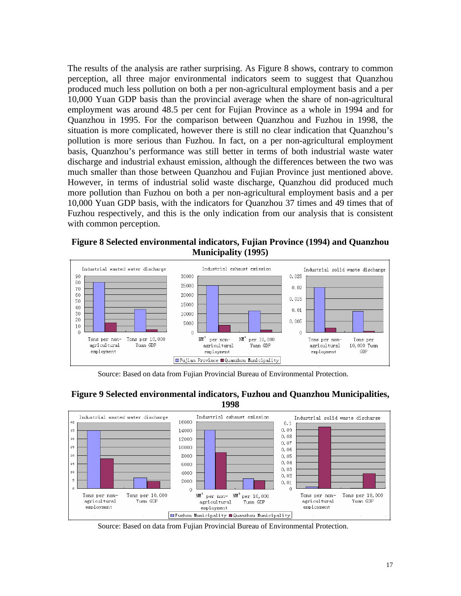The results of the analysis are rather surprising. As Figure 8 shows, contrary to common perception, all three major environmental indicators seem to suggest that Quanzhou produced much less pollution on both a per non-agricultural employment basis and a per 10,000 Yuan GDP basis than the provincial average when the share of non-agricultural employment was around 48.5 per cent for Fujian Province as a whole in 1994 and for Quanzhou in 1995. For the comparison between Quanzhou and Fuzhou in 1998, the situation is more complicated, however there is still no clear indication that Quanzhou's pollution is more serious than Fuzhou. In fact, on a per non-agricultural employment basis, Quanzhou's performance was still better in terms of both industrial waste water discharge and industrial exhaust emission, although the differences between the two was much smaller than those between Quanzhou and Fujian Province just mentioned above. However, in terms of industrial solid waste discharge, Quanzhou did produced much more pollution than Fuzhou on both a per non-agricultural employment basis and a per 10,000 Yuan GDP basis, with the indicators for Quanzhou 37 times and 49 times that of Fuzhou respectively, and this is the only indication from our analysis that is consistent with common perception.

**Figure 8 Selected environmental indicators, Fujian Province (1994) and Quanzhou Municipality (1995)**



Source: Based on data from Fujian Provincial Bureau of Environmental Protection.





Source: Based on data from Fujian Provincial Bureau of Environmental Protection.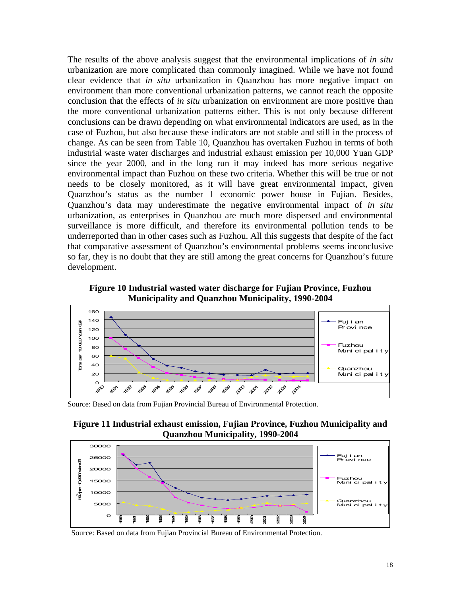The results of the above analysis suggest that the environmental implications of *in situ* urbanization are more complicated than commonly imagined. While we have not found clear evidence that *in situ* urbanization in Quanzhou has more negative impact on environment than more conventional urbanization patterns, we cannot reach the opposite conclusion that the effects of *in situ* urbanization on environment are more positive than the more conventional urbanization patterns either. This is not only because different conclusions can be drawn depending on what environmental indicators are used, as in the case of Fuzhou, but also because these indicators are not stable and still in the process of change. As can be seen from Table 10, Quanzhou has overtaken Fuzhou in terms of both industrial waste water discharges and industrial exhaust emission per 10,000 Yuan GDP since the year 2000, and in the long run it may indeed has more serious negative environmental impact than Fuzhou on these two criteria. Whether this will be true or not needs to be closely monitored, as it will have great environmental impact, given Quanzhou's status as the number 1 economic power house in Fujian. Besides, Quanzhou's data may underestimate the negative environmental impact of *in situ* urbanization, as enterprises in Quanzhou are much more dispersed and environmental surveillance is more difficult, and therefore its environmental pollution tends to be underreported than in other cases such as Fuzhou. All this suggests that despite of the fact that comparative assessment of Quanzhou's environmental problems seems inconclusive so far, they is no doubt that they are still among the great concerns for Quanzhou's future development.

**Figure 10 Industrial wasted water discharge for Fujian Province, Fuzhou Municipality and Quanzhou Municipality, 1990-2004** 



Source: Based on data from Fujian Provincial Bureau of Environmental Protection.





Source: Based on data from Fujian Provincial Bureau of Environmental Protection.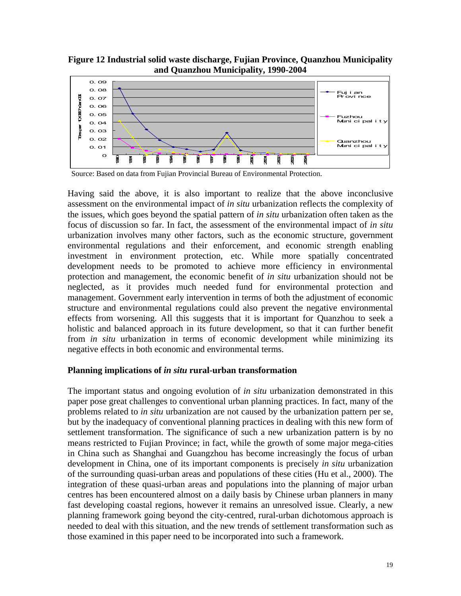**Figure 12 Industrial solid waste discharge, Fujian Province, Quanzhou Municipality and Quanzhou Municipality, 1990-2004** 



Source: Based on data from Fujian Provincial Bureau of Environmental Protection.

Having said the above, it is also important to realize that the above inconclusive assessment on the environmental impact of *in situ* urbanization reflects the complexity of the issues, which goes beyond the spatial pattern of *in situ* urbanization often taken as the focus of discussion so far. In fact, the assessment of the environmental impact of *in situ*  urbanization involves many other factors, such as the economic structure, government environmental regulations and their enforcement, and economic strength enabling investment in environment protection, etc. While more spatially concentrated development needs to be promoted to achieve more efficiency in environmental protection and management, the economic benefit of *in situ* urbanization should not be neglected, as it provides much needed fund for environmental protection and management. Government early intervention in terms of both the adjustment of economic structure and environmental regulations could also prevent the negative environmental effects from worsening. All this suggests that it is important for Quanzhou to seek a holistic and balanced approach in its future development, so that it can further benefit from *in situ* urbanization in terms of economic development while minimizing its negative effects in both economic and environmental terms.

## **Planning implications of** *in situ* **rural-urban transformation**

The important status and ongoing evolution of *in situ* urbanization demonstrated in this paper pose great challenges to conventional urban planning practices. In fact, many of the problems related to *in situ* urbanization are not caused by the urbanization pattern per se, but by the inadequacy of conventional planning practices in dealing with this new form of settlement transformation. The significance of such a new urbanization pattern is by no means restricted to Fujian Province; in fact, while the growth of some major mega-cities in China such as Shanghai and Guangzhou has become increasingly the focus of urban development in China, one of its important components is precisely *in situ* urbanization of the surrounding quasi-urban areas and populations of these cities (Hu et al., 2000). The integration of these quasi-urban areas and populations into the planning of major urban centres has been encountered almost on a daily basis by Chinese urban planners in many fast developing coastal regions, however it remains an unresolved issue. Clearly, a new planning framework going beyond the city-centred, rural-urban dichotomous approach is needed to deal with this situation, and the new trends of settlement transformation such as those examined in this paper need to be incorporated into such a framework.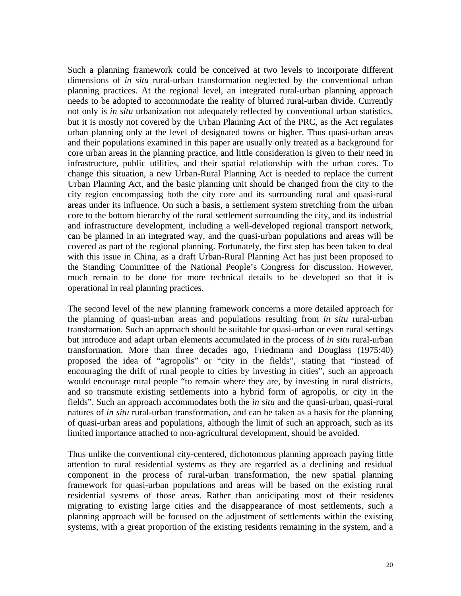Such a planning framework could be conceived at two levels to incorporate different dimensions of *in situ* rural-urban transformation neglected by the conventional urban planning practices. At the regional level, an integrated rural-urban planning approach needs to be adopted to accommodate the reality of blurred rural-urban divide. Currently not only is *in situ* urbanization not adequately reflected by conventional urban statistics, but it is mostly not covered by the Urban Planning Act of the PRC, as the Act regulates urban planning only at the level of designated towns or higher. Thus quasi-urban areas and their populations examined in this paper are usually only treated as a background for core urban areas in the planning practice, and little consideration is given to their need in infrastructure, public utilities, and their spatial relationship with the urban cores. To change this situation, a new Urban-Rural Planning Act is needed to replace the current Urban Planning Act, and the basic planning unit should be changed from the city to the city region encompassing both the city core and its surrounding rural and quasi-rural areas under its influence. On such a basis, a settlement system stretching from the urban core to the bottom hierarchy of the rural settlement surrounding the city, and its industrial and infrastructure development, including a well-developed regional transport network, can be planned in an integrated way, and the quasi-urban populations and areas will be covered as part of the regional planning. Fortunately, the first step has been taken to deal with this issue in China, as a draft Urban-Rural Planning Act has just been proposed to the Standing Committee of the National People's Congress for discussion. However, much remain to be done for more technical details to be developed so that it is operational in real planning practices.

The second level of the new planning framework concerns a more detailed approach for the planning of quasi-urban areas and populations resulting from *in situ* rural-urban transformation. Such an approach should be suitable for quasi-urban or even rural settings but introduce and adapt urban elements accumulated in the process of *in situ* rural-urban transformation. More than three decades ago, Friedmann and Douglass (1975:40) proposed the idea of "agropolis" or "city in the fields", stating that "instead of encouraging the drift of rural people to cities by investing in cities", such an approach would encourage rural people "to remain where they are, by investing in rural districts, and so transmute existing settlements into a hybrid form of agropolis, or city in the fields". Such an approach accommodates both the *in situ* and the quasi-urban, quasi-rural natures of *in situ* rural-urban transformation, and can be taken as a basis for the planning of quasi-urban areas and populations, although the limit of such an approach, such as its limited importance attached to non-agricultural development, should be avoided.

Thus unlike the conventional city-centered, dichotomous planning approach paying little attention to rural residential systems as they are regarded as a declining and residual component in the process of rural-urban transformation, the new spatial planning framework for quasi-urban populations and areas will be based on the existing rural residential systems of those areas. Rather than anticipating most of their residents migrating to existing large cities and the disappearance of most settlements, such a planning approach will be focused on the adjustment of settlements within the existing systems, with a great proportion of the existing residents remaining in the system, and a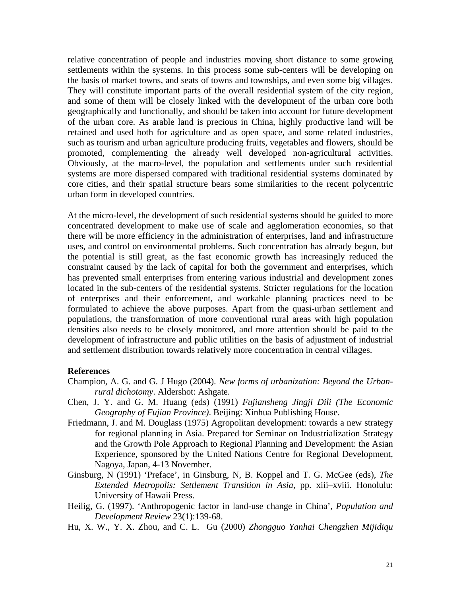relative concentration of people and industries moving short distance to some growing settlements within the systems. In this process some sub-centers will be developing on the basis of market towns, and seats of towns and townships, and even some big villages. They will constitute important parts of the overall residential system of the city region, and some of them will be closely linked with the development of the urban core both geographically and functionally, and should be taken into account for future development of the urban core. As arable land is precious in China, highly productive land will be retained and used both for agriculture and as open space, and some related industries, such as tourism and urban agriculture producing fruits, vegetables and flowers, should be promoted, complementing the already well developed non-agricultural activities. Obviously, at the macro-level, the population and settlements under such residential systems are more dispersed compared with traditional residential systems dominated by core cities, and their spatial structure bears some similarities to the recent polycentric urban form in developed countries.

At the micro-level, the development of such residential systems should be guided to more concentrated development to make use of scale and agglomeration economies, so that there will be more efficiency in the administration of enterprises, land and infrastructure uses, and control on environmental problems. Such concentration has already begun, but the potential is still great, as the fast economic growth has increasingly reduced the constraint caused by the lack of capital for both the government and enterprises, which has prevented small enterprises from entering various industrial and development zones located in the sub-centers of the residential systems. Stricter regulations for the location of enterprises and their enforcement, and workable planning practices need to be formulated to achieve the above purposes. Apart from the quasi-urban settlement and populations, the transformation of more conventional rural areas with high population densities also needs to be closely monitored, and more attention should be paid to the development of infrastructure and public utilities on the basis of adjustment of industrial and settlement distribution towards relatively more concentration in central villages.

#### **References**

- Champion, A. G. and G. J Hugo (2004). *New forms of urbanization: Beyond the Urbanrural dichotomy*. Aldershot: Ashgate.
- Chen, J. Y. and G. M. Huang (eds) (1991) *Fujiansheng Jingji Dili (The Economic Geography of Fujian Province)*. Beijing: Xinhua Publishing House.
- Friedmann, J. and M. Douglass (1975) Agropolitan development: towards a new strategy for regional planning in Asia. Prepared for Seminar on Industrialization Strategy and the Growth Pole Approach to Regional Planning and Development: the Asian Experience, sponsored by the United Nations Centre for Regional Development, Nagoya, Japan, 4-13 November.
- Ginsburg, N (1991) 'Preface', in Ginsburg, N, B. Koppel and T. G. McGee (eds), *The Extended Metropolis: Settlement Transition in Asia*, pp. xiii–xviii. Honolulu: University of Hawaii Press.
- Heilig, G. (1997). 'Anthropogenic factor in land-use change in China', *Population and Development Review* 23(1):139-68.
- Hu, X. W., Y. X. Zhou, and C. L. Gu (2000) *Zhongguo Yanhai Chengzhen Mijidiqu*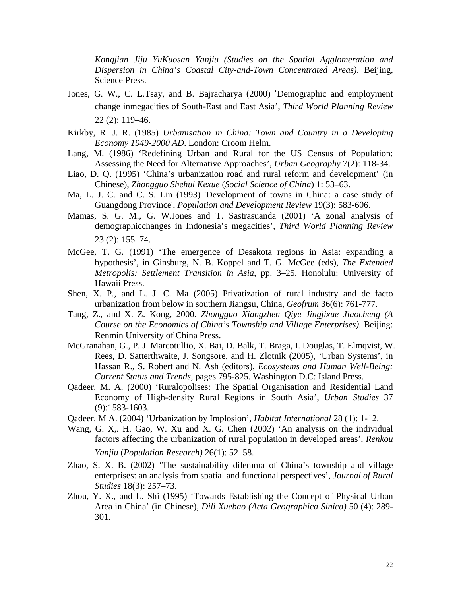*Kongjian Jiju YuKuosan Yanjiu (Studies on the Spatial Agglomeration and Dispersion in China's Coastal City-and-Town Concentrated Areas)*. Beijing, Science Press.

- Jones, G. W., C. L.Tsay, and B. Bajracharya (2000) 'Demographic and employment change inmegacities of South-East and East Asia', *Third World Planning Review* 22 (2): 119–46.
- Kirkby, R. J. R. (1985) *Urbanisation in China: Town and Country in a Developing Economy 1949-2000 AD*. London: Croom Helm.
- Lang, M. (1986) 'Redefining Urban and Rural for the US Census of Population: Assessing the Need for Alternative Approaches', *Urban Geography* 7(2): 118-34.
- Liao, D. Q. (1995) 'China's urbanization road and rural reform and development' (in Chinese), *Zhongguo Shehui Kexue* (*Social Science of China*) 1: 53–63.
- Ma, L. J. C. and C. S. Lin (1993) 'Development of towns in China: a case study of Guangdong Province', *Population and Development Review* 19(3): 583-606.
- Mamas, S. G. M., G. W.Jones and T. Sastrasuanda (2001) 'A zonal analysis of demographicchanges in Indonesia's megacities', *Third World Planning Review*  23 (2): 155–74.
- McGee, T. G. (1991) 'The emergence of Desakota regions in Asia: expanding a hypothesis', in Ginsburg, N. B. Koppel and T. G. McGee (eds), *The Extended Metropolis: Settlement Transition in Asia*, pp. 3–25. Honolulu: University of Hawaii Press.
- Shen, X. P., and L. J. C. Ma (2005) Privatization of rural industry and de facto urbanization from below in southern Jiangsu, China*, Geofrum* 36(6): 761-777.
- Tang, Z., and X. Z. Kong, 2000. *Zhongguo Xiangzhen Qiye Jingjixue Jiaocheng (A Course on the Economics of China's Township and Village Enterprises).* Beijing: Renmin University of China Press.
- McGranahan, G., P. J. Marcotullio, X. Bai, D. Balk, T. Braga, I. Douglas, T. Elmqvist, W. Rees, D. Satterthwaite, J. Songsore, and H. Zlotnik (2005), 'Urban Systems', in Hassan R., S. Robert and N. Ash (editors), *Ecosystems and Human Well-Being: Current Status and Trends*, pages 795-825. Washington D.C: Island Press.
- Qadeer. M. A. (2000) 'Ruralopolises: The Spatial Organisation and Residential Land Economy of High-density Rural Regions in South Asia', *Urban Studies* 37 (9):1583-1603.
- Qadeer. M A. (2004) 'Urbanization by Implosion', *Habitat International* 28 (1): 1-12.
- Wang, G. X,. H. Gao, W. Xu and X. G. Chen (2002) 'An analysis on the individual factors affecting the urbanization of rural population in developed areas', *Renkou Yanjiu* (*Population Research)* 26(1): 52–58.
- Zhao, S. X. B. (2002) 'The sustainability dilemma of China's township and village enterprises: an analysis from spatial and functional perspectives', *Journal of Rural Studies* 18(3): 257–73.
- Zhou, Y. X., and L. Shi (1995) 'Towards Establishing the Concept of Physical Urban Area in China' (in Chinese), *Dili Xuebao (Acta Geographica Sinica)* 50 (4): 289- 301.